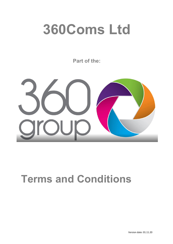# **360Coms Ltd**

**Part of the:**



# **Terms and Conditions**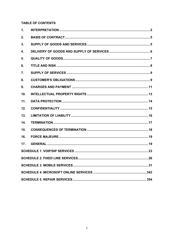# **TABLE OF CONTENTS**

| 1.               |                                        |    |
|------------------|----------------------------------------|----|
| 2.               |                                        |    |
| 3.               |                                        |    |
| 4.               |                                        |    |
| 5.               |                                        |    |
| 6.               |                                        |    |
| $\overline{7}$ . |                                        |    |
| 8.               |                                        |    |
| 9.               |                                        |    |
| 10.              |                                        |    |
| 11.              |                                        |    |
| 12.              |                                        |    |
| 13.              |                                        |    |
| 14.              |                                        |    |
| 15.              |                                        |    |
| 16.              |                                        |    |
| 17.              |                                        |    |
|                  |                                        |    |
|                  | <b>SCHEDULE 2. FIXED LINE SERVICES</b> | 26 |
|                  |                                        |    |
|                  |                                        |    |
|                  |                                        |    |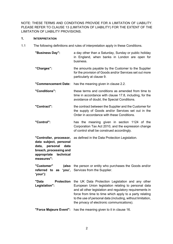NOTE: THESE TERMS AND CONDITIONS PROVIDE FOR A LIMITATION OF LIABILITY. PLEASE REFER TO CLAUSE 13 (LIMITATION OF LIABILITY) FOR THE EXTENT OF THE LIMITATION OF LIABILITY PROVISIONS.

# **1. INTERPRETATION**

1.1 The following definitions and rules of interpretation apply in these Conditions.

| "Business Day":                                                                                                                              | a day other than a Saturday, Sunday or public holiday<br>in England, when banks in London are open for<br>business.                                                                                                                                                                                                                          |  |  |  |  |  |
|----------------------------------------------------------------------------------------------------------------------------------------------|----------------------------------------------------------------------------------------------------------------------------------------------------------------------------------------------------------------------------------------------------------------------------------------------------------------------------------------------|--|--|--|--|--|
| "Charges":                                                                                                                                   | the amounts payable by the Customer to the Supplier<br>for the provision of Goods and/or Services set out more<br>particularly at clause 9.                                                                                                                                                                                                  |  |  |  |  |  |
| "Commencement Date:                                                                                                                          | has the meaning given in clause 2.2.                                                                                                                                                                                                                                                                                                         |  |  |  |  |  |
| "Conditions":                                                                                                                                | these terms and conditions as amended from time to<br>time in accordance with clause 17.8, including, for the<br>avoidance of doubt, the Special Conditions.                                                                                                                                                                                 |  |  |  |  |  |
| "Contract":                                                                                                                                  | the contract between the Supplier and the Customer for<br>the supply of Goods and/or Services set out in the<br>Order in accordance with these Conditions.                                                                                                                                                                                   |  |  |  |  |  |
| "Control":                                                                                                                                   | has the meaning given in section 1124 of the<br>Corporation Tax Act 2010, and the expression change<br>of control shall be construed accordingly.                                                                                                                                                                                            |  |  |  |  |  |
| "Controller, processor,<br>data subject, personal<br>data, personal<br>data<br>breach, processing and<br>appropriate technical<br>measures": | as defined in the Data Protection Legislation.                                                                                                                                                                                                                                                                                               |  |  |  |  |  |
| "Customer"<br>'your'):                                                                                                                       | (also the person or entity who purchases the Goods and/or<br>referred to as 'you', Services from the Supplier.                                                                                                                                                                                                                               |  |  |  |  |  |
| <b>Protection</b><br>Data<br>Legislation":                                                                                                   | the UK Data Protection Legislation and any other<br>European Union legislation relating to personal data<br>and all other legislation and regulatory requirements in<br>force from time to time which apply to a party relating<br>to the use of personal data (including, without limitation,<br>the privacy of electronic communications). |  |  |  |  |  |
| "Force Majeure Event":                                                                                                                       | has the meaning given to it in clause 16.                                                                                                                                                                                                                                                                                                    |  |  |  |  |  |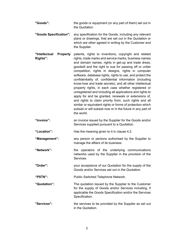| "Goods": | the goods or equipment (or any part of them) set out in<br>the Quotation.             |  |  |  |  |  |
|----------|---------------------------------------------------------------------------------------|--|--|--|--|--|
|          | <b>"Goods Specification":</b> any specification for the Goods, including any relevant |  |  |  |  |  |

- plans or drawings, that are set out in the Quotation or which are other agreed in writing by the Customer and the Supplier.
- **"Intellectual Property Rights":** patents, rights to inventions, copyright and related rights, trade marks and service marks, business names and domain names, rights in get-up and trade dress, goodwill and the right to sue for passing off or unfair competition, rights in designs, rights in computer software, database rights, rights to use, and protect the confidentiality of, confidential information (including know-how and trade secrets), and all other intellectual property rights, in each case whether registered or unregistered and including all applications and rights to apply for and be granted, renewals or extensions of, and rights to claim priority from, such rights and all similar or equivalent rights or forms of protection which subsist or will subsist now or in the future in any part of the world.
- **"Invoice":** an invoice issued by the Supplier for the Goods and/or Services supplied pursuant to a Quotation.
- **"Location":** Has the meaning given to it in clause 4.2.
- "Management": any person or persons authorised by the Supplier to manage the affairs of its business.
- **"Network":** the operators of the underlying communications networks used by the Supplier in the provision of the Services.
- **"Order":** your acceptance of our Quotation for the supply of the Goods and/or Services set out in the Quotation.
- **"PSTN":** Public Switched Telephone Network.
- **"Quotation":** The quotation issued by the Supplier to the Customer for the supply of Goods and/or Services including, if applicable the Goods Specification and/or the Services Specification.
- **"Services":** the services to be provided by the Supplier as set out in the Quotation.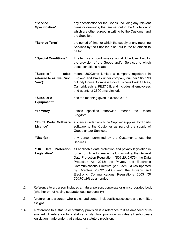| "Service<br>Specification":                                  | any specification for the Goods, including any relevant<br>plans or drawings, that are set out in the Quotation or<br>which are other agreed in writing by the Customer and<br>the Supplier.                                                                                                                                                                                                                                 |  |  |  |  |  |  |
|--------------------------------------------------------------|------------------------------------------------------------------------------------------------------------------------------------------------------------------------------------------------------------------------------------------------------------------------------------------------------------------------------------------------------------------------------------------------------------------------------|--|--|--|--|--|--|
| "Service Term":                                              | the period of time for which the supply of any recurring<br>Services by the Supplier is set out in the Quotation to<br>be for.                                                                                                                                                                                                                                                                                               |  |  |  |  |  |  |
| "Special Conditions":                                        | The terms and conditions set out at Schedules $1 - 6$ for<br>the provision of the Goods and/or Services to which<br>those conditions relate.                                                                                                                                                                                                                                                                                 |  |  |  |  |  |  |
| "Supplier"<br>(also<br>referred to as 'we', 'us',<br>'our'): | means 360Coms Limited a company registered in<br>England and Wales under company number 2656999<br>of Unity House, Compass Point Business Park, St Ives,<br>Cambridgeshire, PE27 5JL and includes all employees<br>and agents of 360Coms Limited.                                                                                                                                                                            |  |  |  |  |  |  |
| "Supplier's<br><b>Equipment":</b>                            | has the meaning given in clause 8.1.8.                                                                                                                                                                                                                                                                                                                                                                                       |  |  |  |  |  |  |
| "Territory":                                                 | otherwise,<br>specified<br>the<br>United<br>unless<br>means<br>Kingdom.                                                                                                                                                                                                                                                                                                                                                      |  |  |  |  |  |  |
| "Third Party Software<br>Licence":                           | a licence under which the Supplier supplies third party<br>software to the Customer as part of the supply of<br>Goods and/or Services.                                                                                                                                                                                                                                                                                       |  |  |  |  |  |  |
| "User(s)":                                                   | any person permitted by the Customer to use the<br>Services.                                                                                                                                                                                                                                                                                                                                                                 |  |  |  |  |  |  |
| "UK<br>Data<br>Legislation":                                 | Protection all applicable data protection and privacy legislation in<br>force from time to time in the UK including the General<br>Data Protection Regulation ((EU) 2016/679); the Data<br>Protection Act 2018; the Privacy and Electronic<br>Communications Directive (2002/58/EC) (as updated<br>by Directive 2009/136/EC) and the Privacy and<br>Electronic Communications Regulations 2003 (SI<br>2003/2426) as amended. |  |  |  |  |  |  |

- 1.2 Reference to a **person** includes a natural person, corporate or unincorporated body (whether or not having separate legal personality).
- 1.3 A reference to a person who is a natural person includes its successors and permitted assigns.
- 1.4 A reference to a statute or statutory provision is a reference to it as amended or reenacted. A reference to a statute or statutory provision includes all subordinate legislation made under that statute or statutory provision.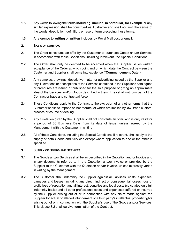- 1.5 Any words following the terms **including**, **include**, **in particular**, **for example** or any similar expression shall be construed as illustrative and shall not limit the sense of the words, description, definition, phrase or term preceding those terms.
- 1.6 A reference to **writing** or **written** includes by Royal Mail post or email.

# **2. BASIS OF CONTRACT**

- 2.1 The Order constitutes an offer by the Customer to purchase Goods and/or Services in accordance with these Conditions, including if relevant, the Special Conditions.
- 2.2 The Order shall only be deemed to be accepted when the Supplier issues written acceptance of the Order at which point and on which date the Contract between the Customer and Supplier shall come into existence ("**Commencement Date**").
- 2.3 Any samples, drawings, descriptive matter or advertising issued by the Supplier and any illustrations or descriptions of the Services contained in the Supplier's catalogues or brochures are issued or published for the sole purpose of giving an approximate idea of the Services and/or Goods described in them. They shall not form part of the Contract or have any contractual force.
- 2.4 These Conditions apply to the Contract to the exclusion of any other terms that the Customer seeks to impose or incorporate, or which are implied by law, trade custom, practice or course of dealing.
- 2.5 Any Quotation given by the Supplier shall not constitute an offer, and is only valid for a period of 30 Business Days from its date of issue, unless agreed by the Management with the Customer in writing.
- 2.6 All of these Conditions, including the Special Conditions, if relevant, shall apply to the supply of both Goods and Services except where application to one or the other is specified.

# **3. SUPPLY OF GOODS AND SERVICES**

- 3.1 The Goods and/or Services shall be as described in the Quotation and/or Invoice and in any documents referred to in the Quotation and/or Invoice or provided by the Supplier to the Customer with the Quotation and/or Invoice, unless expressly varied in writing by the Management.
- 3.2 The Customer shall indemnify the Supplier against all liabilities, costs, expenses, damages and losses (including any direct, indirect or consequential losses, loss of profit, loss of reputation and all interest, penalties and legal costs (calculated on a full indemnity basis) and all other professional costs and expenses) suffered or incurred by the Supplier arising out of or in connection with any claim made against the Supplier for actual or alleged infringement of a third party's intellectual property rights arising out of or in connection with the Supplier's use of the Goods and/or Services. This clause 3.2 shall survive termination of the Contract.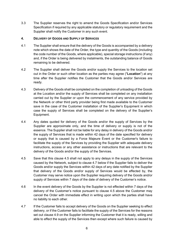3.3 The Supplier reserves the right to amend the Goods Specification and/or Services Specification if required by any applicable statutory or regulatory requirement and the Supplier shall notify the Customer in any such event.

# **4. DELIVERY OF GOODS AND SUPPLY OF SERVICES**

- 4.1 The Supplier shall ensure that the delivery of the Goods is accompanied by a delivery note which shows the date of the Order, the type and quantity of the Goods (including the code number of the Goods, where applicable), special storage instructions (if any) and, if the Order is being delivered by instalments, the outstanding balance of Goods remaining to be delivered.
- 4.2 The Supplier shall deliver the Goods and/or supply the Services to the location set out in the Order or such other location as the parties may agree ("**Location**") at any time after the Supplier notifies the Customer that the Goods and/or Services are ready.
- 4.3 Delivery of the Goods shall be completed on the completion of unloading of the Goods at the Location and/or the supply of Services shall be completed on any installation carried out by the Supplier or upon the commencement of any service provided by the Network or other third party provider being first made available to the Customer save in the case of the Customer installation of the Supplier's Equipment in which case the supply of Services shall be completed on the delivery of the Supplier's Equipment.
- 4.4 Any dates quoted for delivery of the Goods and/or the supply of Services by the Supplier are approximate only, and the time of delivery or supply is not of the essence. The Supplier shall not be liable for any delay in delivery of the Goods and/or the supply of Services that is made within 42 days of the date specified for delivery or supply that is caused by a Force Majeure Event or the Customer's failure to facilitate the supply of the Services by providing the Supplier with adequate delivery instructions, access or any other assistance or instructions that are relevant to the delivery of the Goods and/or the supply of the Services.
- 4.5 Save that this clause 4.5 shall not apply to any delays in the supply of the Services caused by the Network, subject to clause 4.7 below if the Supplier fails to deliver the Goods and/or supply the Services within 42 days of any date notified by the Supplier that delivery of the Goods and/or supply of Services would be effected by, the Customer may serve notice upon the Supplier requiring delivery of the Goods and/or supply of Services within 7 days of the date of delivery of the Customer's notice.
- 4.6 In the event delivery of the Goods by the Supplier is not effected within 7 days of the delivery of the Customer's notice pursuant to clause 4.5 above the Customer may cancel the Order with immediate effect in writing upon which the parties shall have no liability to each other.
- 4.7 If the Customer fails to accept delivery of the Goods on the Supplier seeking to effect delivery, or if the Customer fails to facilitate the supply of the Services for the reasons set out clause 4.9 on the Supplier informing the Customer that it is ready, willing and able to effect the supply of the Services then except where such failure is caused by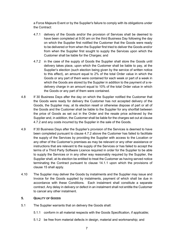a Force Majeure Event or by the Supplier's failure to comply with its obligations under the Contract:

- 4.7.1 delivery of the Goods and/or the provision of Services shall be deemed to have been completed at 9.00 am on the third Business Day following the day on which the Supplier first notified the Customer that the Goods were ready to be delivered or from when the Supplier first tried to deliver the Goods and/or from when the Supplier first sought to supply the Services upon which the Customer shall be liable for the Charges; and
- 4.7.2 in the case of the supply of Goods the Supplier shall store the Goods until delivery takes place, upon which the Customer shall be liable to pay, at the Supplier's election (such election being given by the service of written notice to this effect), an amount equal to 2% of the total Order value in which the Goods or any part of them were contained for each week or part of a week in which the Goods are stored by the Supplier in addition to the payment of a redelivery charge in an amount equal to 10% of the total Order value in which the Goods or any part of them were contained.
- 4.8 If 30 Business Days after the day on which the Supplier notified the Customer that the Goods were ready for delivery the Customer has not accepted delivery of the Goods, the Supplier may, at its election resell or otherwise dispose of part or all of the Goods and the Customer shall be liable to the Supplier for any shortfall between the price of Goods as set out in the Order and the resale price achieved by the Supplier and, in addition, the Customer shall be liable for the charges set out at clause 4.7.2 and any costs incurred by the Supplier in the sale of the Goods.
- 4.9 If 30 Business Days after the Supplier's provision of the Services is deemed to have been completed pursuant to clause 4.7.2 above the Customer has failed to facilitate the supply of the Services by providing the Supplier with access to the Location or any other of the Customer's premises as may be relevant or any other assistance or instructions that are relevant to the supply of the Services or has failed to accept the terms of a Third Party Software Licence required in order for the Supplier to be able to supply the Services or in any other way reasonably required by the Supplier, the Supplier shall, at its election be entitled to treat the Customer as having served notice terminating the Contract pursuant to clause 14.1.1 upon which the provisions of clause 15 shall apply.
- 4.10 The Supplier may deliver the Goods by instalments and the Supplier may issue and Invoice for the Goods supplied by instalments, payment of which shall be due in accordance with these Conditions. Each instalment shall constitute a separate contract. Any delay in delivery or defect in an instalment shall not entitle the Customer to cancel any other instalment.

# **5. QUALITY OF GOODS**

- 5.1 The Supplier warrants that on delivery the Goods shall:
	- 5.1.1 conform in all material respects with the Goods Specification, if applicable;
	- 5.1.2 be free from material defects in design, material and workmanship; and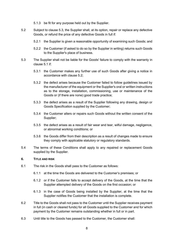- 5.1.3 be fit for any purpose held out by the Supplier.
- 5.2 Subject to clause 5.3, the Supplier shall, at its option, repair or replace any defective Goods, or refund the price of any defective Goods in full if:
	- 5.2.1 the Supplier is given a reasonable opportunity of examining such Goods; and
	- 5.2.2 the Customer (if asked to do so by the Supplier in writing) returns such Goods to the Supplier's place of business.
- 5.3 The Supplier shall not be liable for the Goods' failure to comply with the warranty in clause 5.1 if:
	- 5.3.1 the Customer makes any further use of such Goods after giving a notice in accordance with clause 5.2;
	- 5.3.2 the defect arises because the Customer failed to follow guidelines issued by the manufacturer of the equipment or the Supplier's oral or written instructions as to the storage, installation, commissioning, use or maintenance of the Goods or (if there are none) good trade practice;
	- 5.3.3 the defect arises as a result of the Supplier following any drawing, design or Goods Specification supplied by the Customer;
	- 5.3.4 the Customer alters or repairs such Goods without the written consent of the Supplier;
	- 5.3.5 the defect arises as a result of fair wear and tear, wilful damage, negligence, or abnormal working conditions; or
	- 5.3.6 the Goods differ from their description as a result of changes made to ensure they comply with applicable statutory or regulatory standards.
- 5.4 The terms of these Conditions shall apply to any repaired or replacement Goods supplied by the Supplier.

#### **6. TITLE AND RISK**

- 6.1 The risk in the Goods shall pass to the Customer as follows:
	- 6.1.1 at the time the Goods are delivered to the Customer's premises; or
	- 6.1.2 or if the Customer fails to accept delivery of the Goods, at the time that the Supplier attempted delivery of the Goods on the first occasion; or
	- 6.1.3 in the case of Goods being installed by the Supplier, at the time that the Supplier notifies the Customer that the installation is complete.
- 6.2 Title to the Goods shall not pass to the Customer until the Supplier receives payment in full (in cash or cleared funds) for all Goods supplied to the Customer and for which payment by the Customer remains outstanding whether in full or in part.
- 6.3 Until title to the Goods has passed to the Customer, the Customer shall: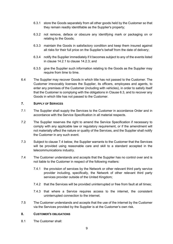- 6.3.1 store the Goods separately from all other goods held by the Customer so that they remain readily identifiable as the Supplier's property;
- 6.3.2 not remove, deface or obscure any identifying mark or packaging on or relating to the Goods;
- 6.3.3 maintain the Goods in satisfactory condition and keep them insured against all risks for their full price on the Supplier's behalf from the date of delivery;
- 6.3.4 notify the Supplier immediately if it becomes subject to any of the events listed in clause 14.2.1 to clause 14.2.3; and
- 6.3.5 give the Supplier such information relating to the Goods as the Supplier may require from time to time.
- 6.4 The Supplier may recover Goods in which title has not passed to the Customer. The Customer irrevocably licenses the Supplier, its officers, employees and agents, to enter any premises of the Customer (including with vehicles), in order to satisfy itself that the Customer is complying with the obligations in Clause 6.3, and to recover any Goods in which title has not passed to the Customer.

# **7. SUPPLY OF SERVICES**

- 7.1 The Supplier shall supply the Services to the Customer in accordance Order and in accordance with the Service Specification in all material respects.
- 7.2 The Supplier reserves the right to amend the Service Specification if necessary to comply with any applicable law or regulatory requirement, or if the amendment will not materially affect the nature or quality of the Services, and the Supplier shall notify the Customer in any such event.
- 7.3 Subject to clause 7.4 below, the Supplier warrants to the Customer that the Services will be provided using reasonable care and skill to a standard accepted in the telecommunications industry.
- 7.4 The Customer understands and accepts that the Supplier has no control over and is not liable to the Customer in respect of the following matters:
	- 7.4.1 the provision of services by the Network or other relevant third party service provider including, specifically, the Network of other relevant third party services provider outside of the United Kingdom;
	- 7.4.2 that the Services will be provided uninterrupted or free from fault at all times;
	- 7.4.3 that where a Service requires access to the internet, the consistent uninterrupted connection to the internet.
- 7.5 The Customer understands and accepts that the use of the internet by the Customer via the Services provided by the Supplier is at the Customer's own risk.

# **8. CUSTOMER'S OBLIGATIONS**

8.1 The Customer shall: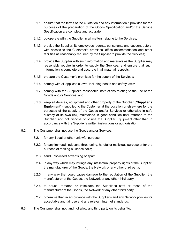- 8.1.1 ensure that the terms of the Quotation and any information it provides for the purposes of the preparation of the Goods Specification and/or the Service Specification are complete and accurate;
- 8.1.2 co-operate with the Supplier in all matters relating to the Services;
- 8.1.3 provide the Supplier, its employees, agents, consultants and subcontractors, with access to the Customer's premises, office accommodation and other facilities as reasonably required by the Supplier to provide the Services;
- 8.1.4 provide the Supplier with such information and materials as the Supplier may reasonably require in order to supply the Services, and ensure that such information is complete and accurate in all material respects;
- 8.1.5 prepare the Customer's premises for the supply of the Services;
- 8.1.6 comply with all applicable laws, including health and safety laws;
- 8.1.7 comply with the Supplier's reasonable instructions relating to the use of the Goods and/or Services; and
- 8.1.8 keep all devices, equipment and other property of the Supplier ("**Supplier's Equipment**"), supplied to the Customer at the Location or elsewhere for the purposes of the supply of the Goods and/or Services or otherwise in safe custody at its own risk, maintained in good condition until returned to the Supplier, and not dispose of or use the Supplier Equipment other than in accordance with the Supplier's written instructions or authorisation.
- 8.2 The Customer shall not use the Goods and/or Services:
	- 8.2.1 for any illegal or other unlawful purpose;
	- 8.2.2 for any immoral, indecent, threatening, hateful or malicious purpose or for the purpose of making nuisance calls;
	- 8.2.3 send unsolicited advertising or spam;
	- 8.2.4 in any way which may infringe any intellectual property rights of the Supplier, the manufacturer of the Goods, the Network or any other third party;
	- 8.2.5 in any way that could cause damage to the reputation of the Supplier, the manufacturer of the Goods, the Network or any other third party;
	- 8.2.6 to abuse, threaten or intimidate the Supplier's staff or those of the manufacturer of the Goods, the Network or any other third party;
	- 8.2.7 otherwise than in accordance with the Supplier's and any Network policies for acceptable and fair use and any relevant internet standards.
- 8.3 The Customer shall not, and not allow any third party on its behalf to: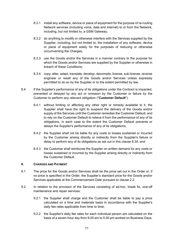- 8.3.1 install any software, device or piece of equipment for the purpose of re-routing Network services (including voice, data and internet) to or from the Network, including, but not limited to, a GSM Gateway;
- 8.3.2 do anything to modify or otherwise interfere with the Services supplied by the Supplier, including, but not limited to, the installation of any software, device or piece of equipment solely for the purposes of reducing or otherwise circumventing the Charges;
- 8.3.3 use the Goods and/or the Services in a manner contrary to the purpose for which the Goods and/or Services are supplied by the Supplier or otherwise in breach of these Conditions;
- 8.3.4 copy, alter, adapt, translate, develop, decompile, license, sub-license, reverse engineer or resell any of the Goods and/or Services unless expressly permitted to do so by the Supplier or to the extent permitted by law.
- 8.4 If the Supplier's performance of any of its obligations under the Contract is impacted, prevented or delayed by any act or omission by the Customer or failure by the Customer to perform any relevant obligation ("**Customer Default**"):
	- 8.4.1 without limiting or affecting any other right or remedy available to it, the Supplier shall have the right to suspend the delivery of the Goods and/or supply of the Services until the Customer remedies the Customer Default, and to rely on the Customer Default to relieve it from the performance of any of its obligations, in each case to the extent the Customer Default prevents or delays the Supplier's performance of any of its obligations;
	- 8.4.2 the Supplier shall not be liable for any costs or losses sustained or incurred by the Customer arising directly or indirectly from the Supplier's failure or delay to perform any of its obligations as set out in this clause 8.34; and
	- 8.4.3 the Customer shall reimburse the Supplier on written demand for any costs or losses sustained or incurred by the Supplier arising directly or indirectly from the Customer Default.

# **9. CHARGES AND PAYMENT**

- 9.1 The price for the Goods and/or Services shall be the price set out in the Order or, if no price is specified in the Order, the Supplier's standard price for the Goods and/or Services applicable at the Commencement Date pursuant to clause 2.2.
- 9.2 In relation to the provision of the Services consisting of ad-hoc, break fix, one-off maintenance and repair services:
	- 9.2.1 the Supplier shall charge and the Customer shall be liable to pay a price calculated on a time and materials basis in accordance with the Supplier's daily fee rates applicable from time to time;
	- 9.2.2 the Supplier's daily fee rates for each individual person are calculated on the basis of a seven-hour day from 9.00 am to 5.00 pm worked on Business Days;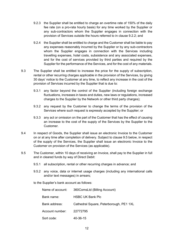- 9.2.3 the Supplier shall be entitled to charge an overtime rate of 150% of the daily fee rate (on a pro-rata hourly basis) for any time worked by the Supplier or any sub-contractors whom the Supplier engages in connection with the provision of Services outside the hours referred to in clause 9.2.2; and
- 9.2.4 the Supplier shall be entitled to charge and the Customer shall be liable to pay any expenses reasonably incurred by the Supplier or by any sub-contractors whom the Supplier engages in connection with the Services including travelling expenses, hotel costs, subsistence and any associated expenses, and for the cost of services provided by third parties and required by the Supplier for the performance of the Services, and for the cost of any materials.
- 9.3 The Supplier shall be entitled to increase the price for the supply of subscription, rental or other recurring charges applicable in the provision of the Services, by giving 30 days' notice to the Customer at any time, to reflect any increase in the cost of the provision of Services incurred by the Supplier that is due to:
	- 9.3.1 any factor beyond the control of the Supplier (including foreign exchange fluctuations, increases in taxes and duties, new laws or regulations, increased charges to the Supplier by the Network or other third party charges);
	- 9.3.2 any request by the Customer to change the terms of the provision of the Services where such request is expressly accepted by the Supplier; or
	- 9.3.3 any act or omission on the part of the Customer that has the effect of causing an increase to the cost of the supply of the Services by the Supplier to the Customer.
- 9.4 In respect of Goods, the Supplier shall issue an electronic Invoice to the Customer on or at any time after completion of delivery. Subject to clause 9.5 below, in respect of the supply of the Services, the Supplier shall issue an electronic Invoice to the Customer on provision of the Services (as applicable).
- 9.5 The Customer, within 10 days of receiving an Invoice, shall pay to the Supplier in full and in cleared funds by way of Direct Debit:
	- 9.5.1 all subscription, rental or other recurring charges in advance; and
	- 9.5.2 any voice, data or internet usage charges (including any international calls and/or text messages) in arrears;

to the Supplier's bank account as follows:

| Name of account: | 360ComsLtd (Billing Account)            |  |  |  |  |  |
|------------------|-----------------------------------------|--|--|--|--|--|
| Bank name:       | <b>HSBC UK Bank Plc</b>                 |  |  |  |  |  |
| Bank address:    | Cathedral Square, Peterborough, PE1 1XL |  |  |  |  |  |
| Account number:  | 22772795                                |  |  |  |  |  |
| Sort code:       | 40-36-15                                |  |  |  |  |  |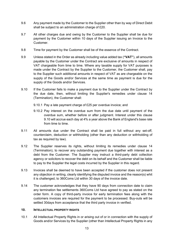- 9.6 Any payment made by the Customer to the Supplier other than by way of Direct Debit shall be subject to an administration charge of £20.
- 9.7 All other charges due and owing by the Customer to the Supplier shall be due for payment by the Customer within 10 days of the Supplier issuing an Invoice to the Customer.
- 9.8 Time for payment by the Customer shall be of the essence of the Contract.
- 9.9 Unless stated in the Order as already including value added tax (**"VAT"**), all amounts payable by the Customer under the Contract are exclusive of amounts in respect of VAT chargeable from time to time. Where any taxable supply for VAT purposes is made under the Contract by the Supplier to the Customer, the Customer shall, pay to the Supplier such additional amounts in respect of VAT as are chargeable on the supply of the Goods and/or Services at the same time as payment is due for the supply of the Goods and/or Services.
- 9.10 If the Customer fails to make a payment due to the Supplier under the Contract by the due date, then, without limiting the Supplier's remedies under clause 14 (Termination), the Customer shall:
	- 9.10.1 Pay a late payment charge of £25 per overdue invoice; and
	- 9.10.2 Pay interest on the overdue sum from the due date until payment of the overdue sum, whether before or after judgment. Interest under this clause 9.10 will accrue each day at 4% a year above the Bank of England's base rate from time to time.
- 9.11 All amounts due under the Contract shall be paid in full without any set-off, counterclaim, deduction or withholding (other than any deduction or withholding of tax as required by law).
- 9.12 The Supplier reserves its rights, without limiting its remedies under clause 14 (Termination), to recover any outstanding payment due together with interest as a debt from the Customer. The Supplier may instruct a third-party debt collection agency or solicitors to recover the debt on its behalf and the Customer shall be liable to pay to the Supplier the legal costs incurred by the Supplier in this regard.
- 9.13 Invoices shall be deemed to have been accepted if the customer does not present any objection in writing, clearly identifying the disputed invoice and the reason(s) whit it is challenged, to 360Coms Ltd within 30 days of the invoice date.
- 9.14 The customer acknowledges that they have 90 days from connection date to claim any termination fee settlements 360Coms Ltd have agreed to pay as stated on the order form. A copy of third-party invoice for early termination fees along with the customers invoices are required for the payment to be processed. Buy-outs will be settled 30days from acceptance that the third party invoice in verified.

# **10. INTELLECTUAL PROPERTY RIGHTS**

10.1 All Intellectual Property Rights in or arising out of or in connection with the supply of Goods and/or Services by the Supplier (other than Intellectual Property Rights in any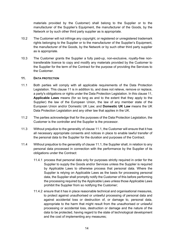materials provided by the Customer) shall belong to the Supplier or to the manufacturer of the Supplier's Equipment, the manufacturer of the Goods, by the Network or by such other third party supplier as is appropriate.

- 10.2 The Customer will not infringe any copyright, or registered or unregistered trademark rights belonging to the Supplier or to the manufacturer of the Supplier's Equipment, the manufacturer of the Goods, by the Network or by such other third party supplier as is appropriate.
- 10.3 The Customer grants the Supplier a fully paid-up, non-exclusive, royalty-free nontransferable licence to copy and modify any materials provided by the Customer to the Supplier for the term of the Contract for the purpose of providing the Services to the Customer.

# **11. DATA PROTECTION**

- 11.1 Both parties will comply with all applicable requirements of the Data Protection Legislation. This clause 11 is in addition to, and does not relieve, remove or replace, a party's obligations or rights under the Data Protection Legislation. In this clause 11, **Applicable Laws** means (for so long as and to the extent that they apply to the Supplier) the law of the European Union, the law of any member state of the European Union and/or Domestic UK Law; and **Domestic UK Law** means the UK Data Protection Legislation and any other law that applies in the UK.
- 11.2 The parties acknowledge that for the purposes of the Data Protection Legislation, the Customer is the controller and the Supplier is the processor.
- 11.3 Without prejudice to the generality of clause 11.1, the Customer will ensure that it has all necessary appropriate consents and notices in place to enable lawful transfer of the personal data to the Supplier for the duration and purposes of the Contract.
- 11.4 Without prejudice to the generality of clause 11.1, the Supplier shall, in relation to any personal data processed in connection with the performance by the Supplier of its obligations under the Contract:
	- 11.4.1 process that personal data only for purposes strictly required in order for the Supplier to supply the Goods and/or Services unless the Supplier is required by Applicable Laws to otherwise process that personal data. Where the Supplier is relying on Applicable Laws as the basis for processing personal data, the Supplier shall promptly notify the Customer of this before performing the processing required by the Applicable Laws unless those Applicable Laws prohibit the Supplier from so notifying the Customer;
	- 11.4.2 ensure that it has in place reasonable technical and organisational measures, to protect against unauthorised or unlawful processing of personal data and against accidental loss or destruction of, or damage to, personal data, appropriate to the harm that might result from the unauthorised or unlawful processing or accidental loss, destruction or damage and the nature of the data to be protected, having regard to the state of technological development and the cost of implementing any measures;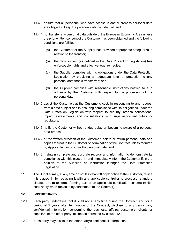- 11.4.3 ensure that all personnel who have access to and/or process personal data are obliged to keep the personal data confidential; and
- 11.4.4 not transfer any personal data outside of the European Economic Area unless the prior written consent of the Customer has been obtained and the following conditions are fulfilled:
	- (a) the Customer or the Supplier has provided appropriate safeguards in relation to the transfer;
	- (b) the data subject (as defined in the Data Protection Legislation) has enforceable rights and effective legal remedies;
	- (c) the Supplier complies with its obligations under the Data Protection Legislation by providing an adequate level of protection to any personal data that is transferred; and
	- (d) the Supplier complies with reasonable instructions notified to it in advance by the Customer with respect to the processing of the personal data;
- 11.4.5 assist the Customer, at the Customer's cost, in responding to any request from a data subject and in ensuring compliance with its obligations under the Data Protection Legislation with respect to security, breach notifications, impact assessments and consultations with supervisory authorities or regulators;
- 11.4.6 notify the Customer without undue delay on becoming aware of a personal data breach;
- 11.4.7 at the written direction of the Customer, delete or return personal data and copies thereof to the Customer on termination of the Contract unless required by Applicable Law to store the personal data; and
- 11.4.8 maintain complete and accurate records and information to demonstrate its compliance with this clause 11 and immediately inform the Customer if, in the opinion of the Supplier, an instruction infringes the Data Protection Legislation.
- 11.5 The Supplier may, at any time on not less than 30 days' notice to the Customer, revise this clause 11 by replacing it with any applicable controller to processor standard clauses or similar terms forming part of an applicable certification scheme (which shall apply when replaced by attachment to the Contract).

# **12. CONFIDENTIALITY**

- 12.1 Each party undertakes that it shall not at any time during the Contract, and for a period of 2 years after termination of the Contract, disclose to any person any confidential information concerning the business, affairs, customers, clients or suppliers of the other party, except as permitted by clause 12.2.
- 12.2 Each party may disclose the other party's confidential information*:*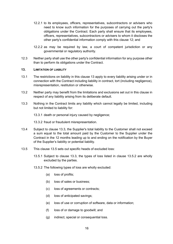- 12.2.1 to its employees, officers, representatives, subcontractors or advisers who need to know such information for the purposes of carrying out the party's obligations under the Contract. Each party shall ensure that its employees, officers, representatives, subcontractors or advisers to whom it discloses the other party's confidential information comply with this clause 12; and
- 12.2.2 as may be required by law, a court of competent jurisdiction or any governmental or regulatory authority*.*
- 12.3 Neither party shall use the other party's confidential information for any purpose other than to perform its obligations under the Contract.

# **13. LIMITATION OF LIABILITY**

- 13.1 The restrictions on liability in this clause 13 apply to every liability arising under or in connection with the Contract including liability in contract, tort (including negligence), misrepresentation, restitution or otherwise.
- 13.2 Neither party may benefit from the limitations and exclusions set out in this clause in respect of any liability arising from its deliberate default.
- 13.3 Nothing in the Contract limits any liability which cannot legally be limited, including but not limited to liability for:

13.3.1 death or personal injury caused by negligence;

13.3.2 fraud or fraudulent misrepresentation.

- 13.4 Subject to clause 13.3, the Supplier's total liability to the Customer shall not exceed a sum equal to the total amount paid by the Customer to the Supplier under the Contract in the 12 months leading up to and ending on the notification by the Buyer of the Supplier's liability or potential liability.
- 13.5 This clause 13.5 sets out specific heads of excluded loss:
	- 13.5.1 Subject to clause 13.3, the types of loss listed in clause 13.5.2 are wholly excluded by the parties.
	- 13.5.2 The following types of loss are wholly excluded:
		- (a) loss of profits;
		- (b) loss of sales or business;
		- (c) loss of agreements or contracts;
		- (d) loss of anticipated savings;
		- (e) loss of use or corruption of software, data or information;
		- (f) loss of or damage to goodwill; and
		- (g) indirect, special or consequential loss.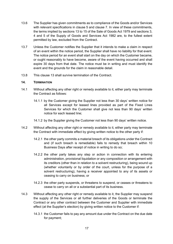- 13.6 The Supplier has given commitments as to compliance of the Goods and/or Services with relevant specifications in clause 5 and clause 7. In view of these commitments, the terms implied by sections 13 to 15 of the Sale of Goods Act 1979 and sections 3, 4 and 5 of the Supply of Goods and Services Act 1982 are, to the fullest extent permitted by law, excluded from the Contract.
- 13.7 Unless the Customer notifies the Supplier that it intends to make a claim in respect of an event within the notice period, the Supplier shall have no liability for that event. The notice period for an event shall start on the day on which the Customer became, or ought reasonably to have become, aware of the event having occurred and shall expire 30 days from that date. The notice must be in writing and must identify the event and the grounds for the claim in reasonable detail.
- 13.8 This clause 13 shall survive termination of the Contract.

#### **14. TERMINATION**

- 14.1 Without affecting any other right or remedy available to it, either party may terminate the Contract as follows:
	- 14.1.1 by the Customer giving the Supplier not less than 30 days' written notice for all Services except for leased lines provided as part of the Fixed Lines Services for which the Customer shall give not less than 90 days' written notice for each leased line;
	- 14.1.2 by the Supplier giving the Customer not less than 90 days' written notice.
- 14.2 Without affecting any other right or remedy available to it, either party may terminate the Contract with immediate effect by giving written notice to the other party if:
	- 14.2.1 the other party commits a material breach of its obligations under the Contract and (if such breach is remediable) fails to remedy that breach within 10 Business Days after receipt of notice in writing to do so;
	- 14.2.2 the other party takes any step or action in connection with its entering administration, provisional liquidation or any composition or arrangement with its creditors (other than in relation to a solvent restructuring), being wound up (whether voluntarily or by order of the court, unless for the purpose of a solvent restructuring), having a receiver appointed to any of its assets or ceasing to carry on business; or
	- 14.2.3 the other party suspends, or threatens to suspend, or ceases or threatens to cease to carry on all or a substantial part of its business.
- 14.3 Without affecting any other right or remedy available to it, the Supplier may suspend the supply of the Services or all further deliveries of the Goods or terminate the Contract or any other contract between the Customer and Supplier with immediate effect (at the Supplier's election) by giving written notice to the Customer if:
	- 14.3.1 the Customer fails to pay any amount due under the Contract on the due date for payment;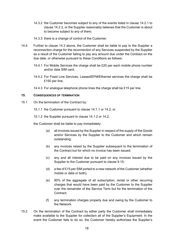- 14.3.2 the Customer becomes subject to any of the events listed in clause 14.2.1 to clause 14.2.3, or the Supplier reasonably believes that the Customer is about to become subject to any of them;
- 14.3.3 there is a change of control of the Customer.
- 14.4 Further to clause 14.3 above, the Customer shall be liable to pay to the Supplier a reconnection charge for the reconnection of any Services suspended by the Supplier as a result of the Customer failing to pay any amount due under the Contract on the due date, or otherwise pursuant to these Conditions as follows:
	- 14.4.1 For Mobile Services the charge shall be £20 per each mobile phone number and/or data SIM card;
	- 14.4.2 For Fixed Line Services, Leased/EFM/Ethernet services the charge shall be £150 per line;
	- 14.4.3 For analogue telephone phone lines the charge shall be £15 per line.

#### **15. CONSEQUENCES OF TERMINATION**

15.1 On the termination of the Contract by:

15.1.1 the Customer pursuant to clause 14.1.1 or 14.2; or

15.1.2 the Supplier pursuant to clause 14.1.2 or 14.2;

the Customer shall be liable to pay immediately:

- (a) all invoices issued by the Supplier in respect of the supply of the Goods and/or Services by the Supplier to the Customer and which remain outstanding;
- (b) any invoices raised by the Supplier subsequent to the termination of the Contract but for which no invoice has been issued;
- (c) any and all interest due to be paid on any invoices issued by the Supplier to the Customer pursuant to clause 9.10;
- (d) a fee of £15 per SIM ported to a new network of the Customer (whether mobile or data or both);
- (e) 90% of the aggregate of all subscription, rental or other recurring charges that would have been paid by the Customer to the Supplier over the remainder of the Service Term but for the termination of the Contract:
- (f) any termination charges properly due and owing by the Customer to the Network.
- 15.2 On the termination of the Contract by either party the Customer shall immediately make available to the Supplier for collection all of the Supplier's Equipment. In the event the Customer fails to do so, the Customer hereby authorises the Supplier's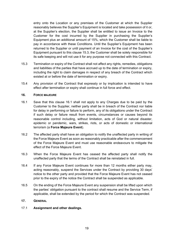entry onto the Location or any premises of the Customer at which the Supplier reasonably believes the Supplier's Equipment is located and take possession of it or, at the Supplier's election, the Supplier shall be entitled to issue an Invoice to the Customer for the cost incurred by the Supplier in purchasing the Supplier's Equipment plus an additional amount of 15%, which the Customer shall be liable to pay in accordance with these Conditions. Until the Supplier's Equipment has been returned to the Supplier or until payment of an Invoice for the cost of the Supplier's Equipment pursuant to this clause 15.3, the Customer shall be solely responsible for its safe keeping and will not use it for any purpose not connected with this Contract.

- 15.3 Termination or expiry of the Contract shall not affect any rights, remedies, obligations and liabilities of the parties that have accrued up to the date of termination or expiry, including the right to claim damages in respect of any breach of the Contract which existed at or before the date of termination or expiry.
- 15.4 Any provision of the Contract that expressly or by implication is intended to have effect after termination or expiry shall continue in full force and effect.

# **16. FORCE MAJEURE**

- 16.1 Save that this clause 16.1 shall not apply to any Charges due to be paid by the Customer to the Supplier, neither party shall be in breach of the Contract nor liable for delay in performing or failure to perform, any of its obligations under the Contract if such delay or failure result from events, circumstances or causes beyond its reasonable control including, without limitation, acts of God or natural disaster, epidemic or pandemic, wars, strikes, riots, or acts of domestic or international terrorism (a **Force Majeure Event**).
- 16.2 The affected party shall have an obligation to notify the unaffected party in writing of the Force Majeure Event as soon as reasonably practicable after the commencement of the Force Majeure Event and must use reasonable endeavours to mitigate the effect of the Force Majeure Event.
- 16.3 When the Force Majeure Event has ceased the affected party shall notify the unaffected party that the terms of the Contract shall be reinstated in full.
- 16.4 If any Force Majeure Event continues for more than 12 months either party may, acting reasonably, suspend the Services under the Contract by providing 30 days' notice to the other party and provided that the Force Majeure Event has not ceased prior to the expiry of the notice the Contract shall be suspended as applicable.
- 16.5 On the ending of the Force Majeure Event any suspension shall be lifted upon which the parties' obligation pursuant to the contract shall resume and the Service Term, if applicable, shall be extended by the period for which the Contract was suspended.

# **17. GENERAL**

# 17.1 **Assignment and other dealings.**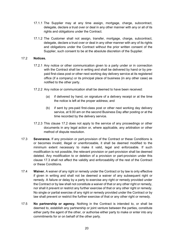- 17.1.1 The Supplier may at any time assign, mortgage, charge, subcontract, delegate, declare a trust over or deal in any other manner with any or all of its rights and obligations under the Contract.
- 17.1.2 The Customer shall not assign, transfer, mortgage, charge, subcontract, delegate, declare a trust over or deal in any other manner with any of its rights and obligations under the Contract without the prior written consent of the Supplier, such consent to be at the absolute discretion of the Supplier.

# 17.2 **Notices.**

- 17.2.1 Any notice or other communication given to a party under or in connection with the Contract shall be in writing and shall be delivered by hand or by prepaid first-class post or other next working day delivery service at its registered office (if a company) or its principal place of business (in any other case) as notified to the other party.
- 17.2.2 Any notice or communication shall be deemed to have been received:
	- (a) if delivered by hand, on signature of a delivery receipt or at the time the notice is left at the proper address; and
	- (b) if sent by pre-paid first-class post or other next working day delivery service, at 9.00 am on the second Business Day after posting or at the time recorded by the delivery service.
- 17.2.3 This clause 17.2 does not apply to the service of any proceedings or other documents in any legal action or, where applicable, any arbitration or other method of dispute resolution.
- 17.3 **Severance.** If any provision or part-provision of the Contract or these Conditions is or becomes invalid, illegal or unenforceable, it shall be deemed modified to the minimum extent necessary to make it valid, legal and enforceable. If such modification is not possible, the relevant provision or part-provision shall be deemed deleted. Any modification to or deletion of a provision or part-provision under this clause 17.3 shall not affect the validity and enforceability of the rest of the Contract or these Conditions.
- 17.4 **Waiver.** A waiver of any right or remedy under the Contract or by law is only effective if given in writing and shall not be deemed a waiver of any subsequent right or remedy. A failure or delay by a party to exercise any right or remedy provided under the Contract or by law shall not constitute a waiver of that or any other right or remedy, nor shall it prevent or restrict any further exercise of that or any other right or remedy. No single or partial exercise of any right or remedy provided under the Contract or by law shall prevent or restrict the further exercise of that or any other right or remedy.
- 17.5 **No partnership or agency.** Nothing in the Contract is intended to, or shall be deemed to, establish any partnership or joint venture between the parties, constitute either party the agent of the other, or authorise either party to make or enter into any commitments for or on behalf of the other party.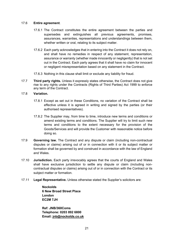# 17.6 **Entire agreement**.

- 17.6.1 The Contract constitutes the entire agreement between the parties and supersedes and extinguishes all previous agreements, promises, assurances, warranties, representations and understandings between them, whether written or oral, relating to its subject matter.
- 17.6.2 Each party acknowledges that in entering into the Contract it does not rely on, and shall have no remedies in respect of any statement, representation, assurance or warranty (whether made innocently or negligently) that is not set out in the Contract. Each party agrees that it shall have no claim for innocent or negligent misrepresentation based on any statement in the Contract.
- 17.6.3 Nothing in this clause shall limit or exclude any liability for fraud.
- 17.7 **Third party rights.** Unless it expressly states otherwise, the Contract does not give rise to any rights under the Contracts (Rights of Third Parties) Act 1999 to enforce any term of the Contract.

# 17.8 **Variation.**

- 17.8.1 Except as set out in these Conditions, no variation of the Contract shall be effective unless it is agreed in writing and signed by the parties (or their authorised representatives).
- 17.8.2 The Supplier may, from time to time, introduce new terms and conditions or amend existing terms and conditions. The Supplier will try to limit such new terms and conditions to the extent necessary for the provision of the Goods/Services and will provide the Customer with reasonable notice before doing so.
- 17.9 **Governing law.** The Contract and any dispute or claim (including non-contractual disputes or claims) arising out of or in connection with it or its subject matter or formation shall be governed by and construed in accordance with the law of England and Wales.
- 17.10 **Jurisdiction.** Each party irrevocably agrees that the courts of England and Wales shall have exclusive jurisdiction to settle any dispute or claim (including noncontractual disputes or claims) arising out of or in connection with the Contract or its subject matter or formation.
- 17.11 **Legal Representative.** Unless otherwise stated the Supplier's solicitors are:

**Nockolds 6 New Broad Street Place London EC2M 7JH**

**Ref: JNB/360Coms Telephone: 0203 892 6800 Email: jnb@nockolds.co.uk**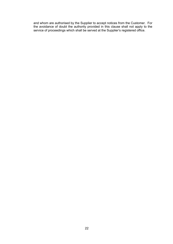and whom are authorised by the Supplier to accept notices from the Customer. For the avoidance of doubt the authority provided in this clause shall not apply to the service of proceedings which shall be served at the Supplier's registered office.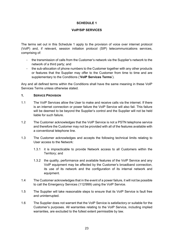# **SCHEDULE 1**

# **VoIP/SIP SERVICES**

The terms set out in this Schedule 1 apply to the provision of voice over internet protocol (VoIP) and, if relevant, session initiation protocol (SIP) telecommunications services, comprising of:

- the transmission of calls from the Customer's network via the Supplier's network to the network of a third party; and
- the sub-allocation of phone numbers to the Customer together with any other products or features that the Supplier may offer to the Customer from time to time and are supplementary to the Conditions ('**VoIP Services Terms**').

Any and all defined terms within the Conditions shall have the same meaning in these VoIP Services Terms unless otherwise stated.

# **1. SERVICE PROVISION**

- 1.1 The VoIP Services allow the User to make and receive calls via the internet. If there is an internet connection or power failure the VoIP Service will also fail. This failure will be deemed to be beyond the Supplier's control and the Supplier will not be held liable for such failure.
- 1.2 The Customer acknowledges that the VoIP Service is not a PSTN telephone service and therefore the Customer may not be provided with all of the features available with a conventional telephone line.
- 1.3 The Customer acknowledges and accepts the following technical limits relating to User access to the Network:
	- 1.3.1 it is impracticable to provide Network access to all Customers within the Territory; and
	- 1.3.2 the quality, performance and available features of the VoIP Service and any VoIP equipment may be affected by the Customer's broadband connection, its use of its network and the configuration of its internal network and equipment.
- 1.4 The Customer acknowledges that in the event of a power failure, it will not be possible to call the Emergency Services (112/999) using the VoIP Service.
- 1.5 The Supplier will take reasonable steps to ensure that its VoIP Service is fault free and uninterrupted.
- 1.6 The Supplier does not warrant that the VoIP Service is satisfactory or suitable for the Customer's purposes. All warranties relating to the VoIP Service, including implied warranties, are excluded to the fullest extent permissible by law.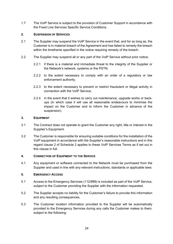1.7 The VoIP Service is subject to the provision of Customer Support in accordance with the Fixed Line Services Specific Service Conditions.

# **2. SUSPENSION OF SERVICES**

- 2.1 The Supplier may suspend the VoIP Service in the event that, and for so long as, the Customer is in material breach of the Agreement and has failed to remedy the breach within the timeframe specified in the notice requiring remedy of the breach.
- 2.2 The Supplier may suspend all or any part of the VoIP Service without prior notice:
	- 2.2.1 if there is a material and immediate threat to the integrity of the Supplier or the Network's network, systems or the PSTN;
	- 2.2.2 to the extent necessary to comply with an order of a regulatory or law enforcement authority;
	- 2.2.3 to the extent necessary to prevent or restrict fraudulent or illegal activity in connection with the VoIP Service;
	- 2.2.4 in the event that it wishes to carry out maintenance, upgrade works or backups (in which case it will use all reasonable endeavours to minimise the impact on the Customer and to inform the Customer in advance of the suspension).

# **3. EQUIPMENT**

- 3.1 The Contract does not operate to grant the Customer any right, title or interest in the Supplier's Equipment.
- 3.2 The Customer is responsible for ensuring suitable conditions for the installation of the VoIP equipment in accordance with the Supplier's reasonable instructions and in this regard clause 2 of Schedule 2 applies to these VoIP Services Terms as if set out in this clause in full.

# **4. CONNECTION OF EQUIPMENT TO THE SERVICE**

4.1 Any equipment or software connected to the Network must be purchased from the Supplier and used in line with any relevant instructions, standards or applicable laws.

# **5. EMERGENCY ACCESS**

- 5.1 Access to the Emergency Services (112/999) is included as part of the VoIP Service, subject to the Customer providing the Supplier with the information requested.
- 5.2 The Supplier accepts no liability for the Customer's failure to provide this information and any resulting consequences.
- 5.3 The Customer location information provided to the Supplier will be automatically provided to the Emergency Services during any calls the Customer makes to them, subject to the following: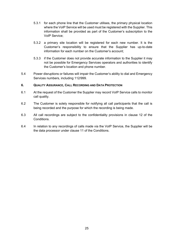- 5.3.1 for each phone line that the Customer utilises, the primary physical location where the VoIP Service will be used must be registered with the Supplier. This information shall be provided as part of the Customer's subscription to the VoIP Service;
- 5.3.2 a primary site location will be registered for each new number. It is the Customer's responsibility to ensure that the Supplier has up-to-date information for each number on the Customer's account;
- 5.3.3 if the Customer does not provide accurate information to the Supplier it may not be possible for Emergency Services operators and authorities to identify the Customer's location and phone number.
- 5.4 Power disruptions or failures will impair the Customer's ability to dial and Emergency Services numbers, including 112/999.

# **6. QUALITY ASSURANCE, CALL RECORDING AND DATA PROTECTION**

- 6.1 At the request of the Customer the Supplier may record VoIP Service calls to monitor call quality.
- 6.2 The Customer is solely responsible for notifying all call participants that the call is being recorded and the purpose for which the recording is being made.
- 6.3 All call recordings are subject to the confidentiality provisions in clause 12 of the Conditions.
- 6.4 In relation to any recordings of calls made via the VoIP Service, the Supplier will be the data processor under clause 11 of the Conditions.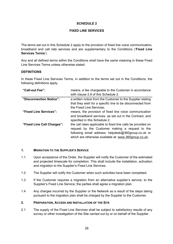# **SCHEDULE 2**

# **FIXED LINE SERVICES**

The terms set out in this Schedule 2 apply to the provision of fixed line voice communication, broadband and call rate services and are supplementary to the Conditions ('**Fixed Line Services Terms**').

Any and all defined terms within the Conditions shall have the same meaning in these Fixed Line Services Terms unless otherwise stated.

# **DEFINITIONS**

In these Fixed Line Services Terms, in addition to the terms set out in the Conditions, the following definitions apply.

| "Call-out Fee":            | means, a fee chargeable to the Customer in accordance<br>with clause 2.9 of this Schedule 2. |  |  |  |  |  |
|----------------------------|----------------------------------------------------------------------------------------------|--|--|--|--|--|
| "Disconnection Notice":    | a written notice from the Customer to the Supplier stating                                   |  |  |  |  |  |
|                            | that they wish for a specific line to be disconnected from                                   |  |  |  |  |  |
|                            | the Fixed Line Services;                                                                     |  |  |  |  |  |
| "Fixed Line Services":     | means, the provision of fixed line voice communication                                       |  |  |  |  |  |
|                            | and broadband services, as set out in the Contract, and                                      |  |  |  |  |  |
|                            | specified in this Schedule 2.                                                                |  |  |  |  |  |
| "Fixed Line Call Charges": | the call rates applicable to fixed line calls be provided on                                 |  |  |  |  |  |
|                            | request by the Customer making a request to the                                              |  |  |  |  |  |
|                            | following email address: helpdesk@360group.co.uk or                                          |  |  |  |  |  |
|                            | which are otherwise available at: www.360group.co.uk;                                        |  |  |  |  |  |

# **1. MIGRATION TO THE SUPPLIER'S SERVICE**

- 1.1 Upon acceptance of the Order, the Supplier will notify the Customer of the estimated and projected timescale for completion. This shall include the installation, activation and migration to the Supplier's Fixed Line Services.
- 1.2 The Supplier will notify the Customer when such activities have been completed.
- 1.3 If the Customer requires a migration from an alternative supplier's service, to the Supplier's Fixed Line Service, the parties shall agree a migration plan.
- 1.4 Any charges incurred by the Supplier or the Network as a result of the steps taking pursuant to the migration plan shall be charged by the Supplier to the Customer.

# **2. PREPARATION, ACCESS AND INSTALLATION OF THE SITE**

2.1 The supply of the Fixed Line Services shall be subject to satisfactory results of any survey or other investigation of the Site carried out by or on behalf of the Supplier.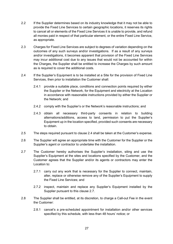- 2.2 If the Supplier determines based on its industry knowledge that it may not be able to provide the Fixed Line Services to certain geographic locations, it reserves its rights to cancel all or elements of the Fixed Line Services it is unable to provide, and refund all monies paid in respect of that particular element, or the entire Fixed Line Service, as appropriate.
- 2.3 Charges for Fixed Line Services are subject to degrees of variation depending on the outcomes of any such surveys and/or investigations. If as a result of any surveys and/or investigations, it becomes apparent that provision of the Fixed Line Services may incur additional cost due to any issues that would not be accounted for within the Charges, the Supplier shall be entitled to increase the Charges by such amount as is required to cover the additional costs.
- 2.4 If the Supplier's Equipment is to be installed at a Site for the provision of Fixed Line Services, then prior to installation the Customer shall:
	- 2.4.1 provide a suitable place, conditions and connection points required by either the Supplier or the Network, for the Equipment and electricity at the Location in accordance with reasonable instructions provided by either the Supplier or the Network; and
	- 2.4.2 comply with the Supplier's or the Network's reasonable instructions; and
	- 2.4.3 obtain all necessary third-party consents in relation to building alternations/additions, access to land, permission to put the Supplier's Equipment up in the location specified, provided such consents are necessary to obtain.
- 2.5 The steps required pursuant to clause 2.4 shall be taken at the Customer's expense.
- 2.6 The Supplier will agree an appropriate time with the Customer for the Supplier or the Supplier's agent or contractor to undertake the installation.
- 2.7 The Customer hereby authorises the Supplier's installation, siting and use the Supplier's Equipment at the sites and locations specified by the Customer, and the Customer agrees that the Supplier and/or its agents or contractors may enter the Location to:
	- 2.7.1 carry out any work that is necessary for the Supplier to connect, maintain, alter, replace or otherwise remove any of the Supplier's Equipment to supply the Fixed Line Services; and
	- 2.7.2 inspect, maintain and replace any Supplier's Equipment installed by the Supplier pursuant to this clause 2.7.
- 2.8 The Supplier shall be entitled, at its discretion, to charge a Call-out Fee in the event the Customer:
	- 2.8.1 cancel's a pre-scheduled appointment for installation and/or other services specified by this schedule, with less than 48 hours' notice; or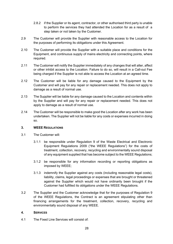- 2.8.2 if the Supplier or its agent, contractor, or other authorised third party is unable to perform the services they had attended the Location for as a result of a step taken or not taken by the Customer.
- 2.9 The Customer will provide the Supplier with reasonable access to the Location for the purposes of performing its obligations under this Agreement.
- 2.10 The Customer will provide the Supplier with a suitable place and conditions for the Equipment, and continuous supply of mains electricity and connecting points, where required.
- 2.11 The Customer will notify the Supplier immediately of any changes that will alter, affect or other inhibit access to the Location. Failure to do so, will result in a Call-out Fee being charged if the Supplier is not able to access the Location at an agreed time.
- 2.12 The Customer will be liable for any damage caused to the Equipment by the Customer and will pay for any repair or replacement needed. This does not apply to damage as a result of normal use.
- 2.13 The Supplier will be liable for any damage caused to the Location and contents within by the Supplier and will pay for any repair or replacement needed. This does not apply to damage as a result of normal use.
- 2.14 The Customer will be responsible to make good the Location after any work has been undertaken. The Supplier will not be liable for any costs or expenses incurred in doing so.

# **3. WEEE REGULATIONS**

- 3.1 The Customer will:
	- 3.1.1 be responsible under Regulation 9 of the Waste Electrical and Electronic Equipment Regulations 2009 ("the WEEE Regulations") for the costs of treatment, collection, recovery, recycling and environmentally sound disposal of any equipment supplied that has become subject to the WEEE Regulations;
	- 3.1.2 be responsible for any information recording or reporting obligations as imposed by WEEE;
	- 3.1.3 indemnify the Supplier against any costs (including reasonable legal costs), liability, claims, legal proceedings or expenses that are brought or threatened against the Supplier which would not have ordinarily been brought if the Customer had fulfilled its obligations under the WEEE Regulations.
- 3.2 The Supplier and the Customer acknowledge that for the purposes of Regulation 9 of the WEEE Regulations, the Contract is an agreement stipulating other than financing arrangements for the treatment, collection, recovery, recycling and environmentally sound disposal of any WEEE.

# **4. SERVICES**

4.1 The Fixed Line Services will consist of: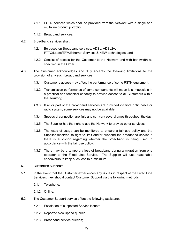- 4.1.1 PSTN services which shall be provided from the Network with a single and multi-line product portfolio;
- 4.1.2 Broadband services;
- 4.2 Broadband services shall:
	- 4.2.1 Be based on Broadband services, ADSL, ADSL2+, FTTC/Lease/EFM/Ethernet Services & NEW technologies; and
	- 4.2.2 Consist of access for the Customer to the Network and with bandwidth as specified in the Order.
- 4.3 The Customer acknowledges and duly accepts the following limitations to the provision of any such broadband services:
	- 4.3.1 Customer's access may affect the performance of some PSTN equipment;
	- 4.3.2 Transmission performance of some components will mean it is impossible in a practical and technical capacity to provide access to all Customers within the Territory;
	- 4.3.3 If all or part of the broadband services are provided via fibre optic cable or radio system, some services may not be available;
	- 4.3.4 Speeds of connection are fluid and can vary several times throughout the day;
	- 4.3.5 The Supplier has the right to use the Network to provide other services;
	- 4.3.6 The rates of usage can be monitored to ensure a fair use policy and the Supplier reserves its right to limit and/or suspend the broadband service if there is suspicion regarding whether the broadband is being used in accordance with the fair use policy.
	- 4.3.7 There may be a temporary loss of broadband during a migration from one operator to the Fixed Line Service. The Supplier will use reasonable endeavours to keep such loss to a minimum.

#### **5. CUSTOMER SUPPORT**

- 5.1 In the event that the Customer experiences any issues in respect of the Fixed Line Services, they should contact Customer Support via the following methods:
	- 5.1.1 Telephone;
	- 5.1.2 Online.
- 5.2 The Customer Support service offers the following assistance:
	- 5.2.1 Escalation of suspected Service issues;
	- 5.2.2 Reported slow speed queries;
	- 5.2.3 Broadband service queries;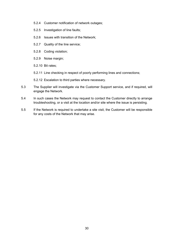- 5.2.4 Customer notification of network outages;
- 5.2.5 Investigation of line faults;
- 5.2.6 Issues with transition of the Network;
- 5.2.7 Quality of the line service;
- 5.2.8 Coding violation;
- 5.2.9 Noise margin;
- 5.2.10 Bit rates;
- 5.2.11 Line checking in respect of poorly performing lines and connections;
- 5.2.12 Escalation to third parties where necessary.
- 5.3 The Supplier will investigate via the Customer Support service, and if required, will engage the Network.
- 5.4 In such cases the Network may request to contact the Customer directly to arrange troubleshooting, or a visit at the location and/or site where the issue is persisting.
- 5.5 If the Network is required to undertake a site visit, the Customer will be responsible for any costs of the Network that may arise.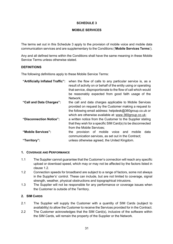# **SCHEDULE 3**

# **MOBILE SERVICES**

The terms set out in this Schedule 3 apply to the provision of mobile voice and mobile data communication services and are supplementary to the Conditions ('**Mobile Services Terms**').

Any and all defined terms within the Conditions shall have the same meaning in these Mobile Service Terms unless otherwise stated.

# **DEFINITIONS**

The following definitions apply to these Mobile Service Terms:

| "Artificially Inflated Traffic": | when the flow of calls to any particular service is, as a<br>result of activity on or behalf of the entity using or operating<br>that service, disproportionate to the flow of call which would<br>be reasonably expected from good faith usage of the<br>Network; |  |  |  |  |  |
|----------------------------------|--------------------------------------------------------------------------------------------------------------------------------------------------------------------------------------------------------------------------------------------------------------------|--|--|--|--|--|
| "Call and Data Charges":         | the call and data charges applicable to Mobile Services<br>provided on request by the Customer making a request to                                                                                                                                                 |  |  |  |  |  |
|                                  | the following email address: helpdesk@360group.co.uk or                                                                                                                                                                                                            |  |  |  |  |  |
| "Disconnection Notice":          | which are otherwise available at: www.360group.co.uk;<br>a written notice from the Customer to the Supplier stating<br>that they wish for a specific SIM Card(s) to be disconnected                                                                                |  |  |  |  |  |
|                                  | from the Mobile Services:                                                                                                                                                                                                                                          |  |  |  |  |  |
| "Mobile Services":               | provision of mobile voice and mobile<br>data<br>the<br>communication services, as set out in the Contract;                                                                                                                                                         |  |  |  |  |  |
| "Territory":                     | unless otherwise agreed, the United Kingdom.                                                                                                                                                                                                                       |  |  |  |  |  |

# **1. COVERAGE AND PERFORMANCE**

- 1.1 The Supplier cannot guarantee that the Customer's connection will reach any specific upload or download speed, which may or may not be affected by the factors listed in clause 1.2.
- 1.2 Connection speeds for broadband are subject to a range of factors, some not always in the Supplier's' control. These can include, but are not limited to coverage, signal strength, weather, physical obstructions and topographical intrusions.
- 1.3 The Supplier will not be responsible for any performance or coverage issues when the Customer is outside of the Territory.

# **2. SIM CARDS**

- 2.1 The Supplier will supply the Customer with a quantity of SIM Cards (subject to availability) to allow the Customer to receive the Services provided for in the Contract.
- 2.2 The Customer acknowledges that the SIM Card(s), inclusive of the software within the SIM Cards, will remain the property of the Supplier or the Network.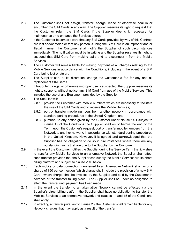- 2.3 The Customer shall not assign, transfer, charge, lease or otherwise deal in or encumber the SIM Cards in any way. The Supplier reserves its right to request that the Customer return the SIM Cards if the Supplier deems it necessary for maintenance or to enhance the Services offered.
- 2.4 If the Customer becomes aware that any SIM Cards provided by way of this Contract are lost and/or stolen or that any person is using the SIM Card in an improper and/or illegal manner, the Customer shall notify the Supplier of such circumstances immediately. The notification must be in writing and the Supplier reserves its right to suspend that SIM Card from making calls and to disconnect it from the Mobile Services.
- 2.5 The Customer will remain liable for making payment of all charges relating to the Mobile Services in accordance with the Conditions, including in the event of a SIM Card being lost or stolen.
- 2.6 The Supplier can, at its discretion, charge the Customer a fee for any and all replacement SIM Cards.
- 2.7 If fraudulent, illegal or otherwise improper use is suspected, the Supplier reserves its right to suspend, without notice, any SIM Card from use of the Mobile Services. This includes the use of any Equipment provided by the Supplier.
- 2.8 The Supplier will:
	- 2.8.1 provide the Customer with mobile numbers which are necessary to facilitate the use of the SIM Cards and to receive the Mobile Services;
	- 2.8.2 port or transfer mobile numbers from another network in accordance with standard porting procedures in the United Kingdom; and
	- 2.8.3 pursuant to any notice given by the Customer under clause 14.1 subject to clause 15 of the Conditions the Supplier shall on or before the end of the Term, upon the Customer's request, port or transfer mobile numbers from the Network to another network, in accordance with standard porting procedures in the United Kingdom. However, it is agreed and acknowledged that the Supplier has no obligation to do so in circumstances where there are any outstanding sums that are due to the Supplier by the Customer.
- 2.9 In the event the Customer notifies the Supplier during the Service Term that it wishes to transfer any Mobile Services to an alternative Network the Supplier shall effect such transfer provided that the Supplier can supply the Mobile Services via its direct billing platform and subject to clause 2.10 below.
- 2.10 Each mobile or data connection transferred to an Alternative Network shall incur a charge of £50 per connection (which charge shall include the provision of a new SIM Card), which charge shall be invoiced by the Supplier and paid by the Customer in advance of the transfer taking place. The Supplier shall be under no obligation to effect the transfer until payment has been made.
- 2.11 In the event the transfer to an alternative Network cannot be effected via the Supplier's direct billing platform the Supplier shall have no obligation to transfer the Mobiles Services to an alternative network and clauses 14 and 15 of the Conditions shall apply.
- 2.12 In effecting a transfer pursuant to clause 2.9 the Customer shall remain liable for any Network charges that may apply as a result of the transfer.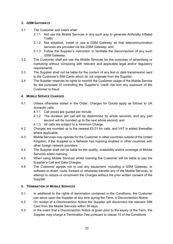# **3. GSM GATEWAYS**

- 3.1 The Customer and Users shall:
	- 3.1.1 Not use the Mobile Services in any such way to generate Artificially Inflated **Traffic**
	- 3.1.2 Not establish, install or use a GSM Gateway so that telecommunication services are provided via the GSM Gateway; and
	- 3.1.3 Follow the Supplier's instruction to facilitate the disconnection of any such GSM Gateway.
- 3.2 The Customer shall not use the Mobile Services for the purposes of advertising or marketing without complying with relevant and applicable legal and/or regulatory requirements.
- 3.3 The Supplier shall not be liable for the content of any text or data transmission sent to the Customer's SIM Cards which do not originate from the Supplier.
- 3.4 The Supplier reserves its rights to monitor the Customer usage of the Mobile Service for the purposes of controlling the Supplier's' credit risk and any exposure of the Customer to fraud.

# **4. MOBILE SERVICE CHARGES**

- 4.1 Unless otherwise stated in the Order, Charges for Goods apply as follows to UK domestic calls:
	- 4.1.1 Call prices are quoted per minute;
	- 4.1.2 The duration per call will be determined by whole seconds, and any part second will be rounded up to the next whole second; and
	- 4.1.3 All calls are subject to a minimum Charge.
- 4.2 Charges are rounded up to the nearest £0.01 for calls, and VAT is added thereafter where applicable.
- 4.3 Mobile Services may operate for the Customer in other countries outside of the United Kingdom, if the Supplier or a Network has roaming enabled in other countries with other foreign network providers.
- 4.4 The Supplier shall not be liable for the quality, availability and/or coverage of Mobile Services whilst roaming.
- 4.5 When using Mobile Services whilst roaming the Customer will be liable to pay the Supplier's Call and Data Charges.
- 4.6 The Customer agrees not to use any equipment, including a GSM Gateway, or software to divert, route, forward or otherwise transfer any of the Mobile Services, to attempt to reduce or circumvent the Charges without the prior written consent of the Supplier.

# **5. TERMINATION OF MOBILE SERVICES**

- 5.1 In additional to the rights of termination contained in the Conditions, the Customer can serve upon the Supplier at any time during the Term, a Disconnection Notice.
- 5.2 On receipt of a Disconnection Notice the Supplier will disconnect the relevant SIM Card from the Mobile Services within 30 days.
- 5.3 In the event that a Disconnection Notice is given prior to the expiry of the Term, the Supplier may charge a Termination Fee pursuant to clause 15 of the Conditions.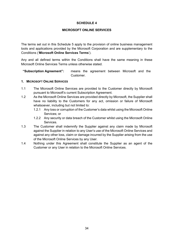# **SCHEDULE 4**

# **MICROSOFT ONLINE SERVICES**

The terms set out in this Schedule 5 apply to the provision of online business management tools and applications provided by the Microsoft Corporation and are supplementary to the Conditions ('**Microsoft Online Services Terms**').

Any and all defined terms within the Conditions shall have the same meaning in these Microsoft Online Services Terms unless otherwise stated.

**"Subscription Agreement":** means the agreement between Microsoft and the Customer.

# **1. MICROSOFT ONLINE SERVICES**

- 1.1 The Microsoft Online Services are provided to the Customer directly by Microsoft pursuant to Microsoft's current Subscription Agreement.
- 1.2 As the Microsoft Online Services are provided directly by Microsoft, the Supplier shall have no liability to the Customers for any act, omission or failure of Microsoft whatsoever, including but not limited to:
	- 1.2.1 Any loss or corruption of the Customer's data whilst using the Microsoft Online Services; or
	- 1.2.2 Any security or data breach of the Customer whilst using the Microsoft Online Services.
- 1.3 The Customer shall indemnify the Supplier against any claim made by Microsoft against the Supplier in relation to any User's use of the Microsoft Online Services and against any other loss, claim or damage incurred by the Supplier arising from the use of the Microsoft Online Services by any User.
- 1.4 Nothing under this Agreement shall constitute the Supplier as an agent of the Customer or any User in relation to the Microsoft Online Services.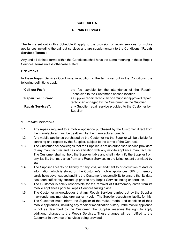## **SCHEDULE 5**

#### **REPAIR SERVICES**

The terms set out in this Schedule 6 apply to the provision of repair services for mobile appliances including the call out services and are supplementary to the Conditions ('**Repair Services Terms**').

Any and all defined terms within the Conditions shall have the same meaning in these Repair Services Terms unless otherwise stated.

#### **DEFINITIONS**

In these Repair Services Conditions, in addition to the terms set out in the Conditions, the following definitions apply:

| "Call-out Fee":      |                                                            |  |  |  | the fee payable for the attendance of the Repair |  |  |  |
|----------------------|------------------------------------------------------------|--|--|--|--------------------------------------------------|--|--|--|
|                      | Technician to the Customer's chosen location.              |  |  |  |                                                  |  |  |  |
| "Repair Technician": | a Supplier repair technician or a Supplier approved repair |  |  |  |                                                  |  |  |  |
|                      | technician engaged by the Customer via the Supplier.       |  |  |  |                                                  |  |  |  |
| "Repair Services":   | any Supplier repair service provided to the Customer by    |  |  |  |                                                  |  |  |  |
|                      | Supplier.                                                  |  |  |  |                                                  |  |  |  |

#### **1. REPAIR CONDITIONS**

- 1.1 Any repairs required to a mobile appliance purchased by the Customer direct from the manufacturer must be dealt with by the manufacturer directly.
- 1.2 Any mobile appliance purchased by the Customer via the Supplier will be eligible for servicing and repairs by the Supplier, subject to the terms of the Contract.
- 1.3 The Customer acknowledges that the Supplier is not an authorised service providers of any manufacturer and has no affiliation with any mobile appliance manufacturer. The Customer shall not hold the Supplier liable and shall indemnify the Supplier from any liability that may arise from any Repair Services to the fullest extent permitted by law.
- 1.4 The Supplier accepts no liability for any loss, amendment to or corruption of data or information which is stored on the Customer's mobile appliances, SIM or memory cards howsoever caused and it is the Customer's responsibility to ensure that its data has been sufficiently backed up prior to any Repair Services being undertaken.
- 1.5 The Customer is solely responsible for the removal of SIM/memory cards from its mobile appliances prior to Repair Services taking place.
- 1.6 The Customer acknowledges that any Repair Services carried out by the Supplier may render any manufacturer warranty void. The Supplier accepts no liability for this.
- 1.7 The Customer must inform the Supplier of the make, model and condition of their mobile appliances, including any repair or modification history. If the mobile appliance is not as described by the Customer, the Supplier reserves the right to apply additional charges to the Repair Services. These charges will be notified to the Customer in advance of services being provided.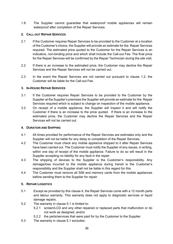1.8 The Supplier cannot guarantee that waterproof mobile appliances will remain waterproof after completion of the Repair Services.

# **2. CALL-OUT REPAIR SERVICES**

- 2.1 If the Customer requires Repair Services to be provided to the Customer at a location of the Customer's choice, the Supplier will provide an estimate for the Repair Services required. The estimated price quoted to the Customer for the Repair Services is an indicative, non-binding price and which shall include the Call-out Fee. The final price for the Repair Services will be confirmed by the Repair Technician during the site visit.
- 2.2 If there is an increase to the estimated price, the Customer may decline the Repair Services and the Repair Services will not be carried out.
- 2.3 In the event the Repair Services are not carried out pursuant to clause 1.2, the Customer will be liable for the Call-out Fee.

# **3. IN-HOUSE REPAIR SERVICES**

- 3.1 If the Customer requires Repair Services to be provided to the Customer by the Supplier at the Supplier's premises the Supplier will provide an estimate for the Repair Services required which is subject to change on inspection of the mobile appliance.
- 3.2 On receipt of a mobile appliance, the Supplier will inspect it and will notify the Customer if there is an increase to the price quoted. If there is an increase to the estimated price, the Customer may decline the Repair Services and the Repair Services will not be carried out.

# **4. DURATION AND SHIPPING**

- 4.1 All times provided for performance of the Repair Services are estimates only and the Supplier will not be liable for any delay to completion of the Repair Services.
- 4.2 The Customer must check any mobile appliance shipped to it after Repair Services have been carried out. The Customer must notify the Supplier of any issues, in writing, within one day of receipt of the mobile appliance. Failure to do so will result in the Supplier accepting no liability for any fault in the repair.
- 4.3 The shipping of devices to the Supplier is the Customer's responsibility. Any damage/loss incurred to the mobile appliance during transit is the Customer's responsibility and the Supplier shall not be liable in this regard for this.
- 4.4 The Customer must remove all SIM and memory cards from the mobile appliances before sending them to the Supplier for repair.

# **5. REPAIR LOGISTICS**

- 5.1 Except as provided by this clause 4, the Repair Services come with a 12 month parts and labour warranty. This warranty does not apply to diagnostic services or liquid damage repairs.
- 5.2 The warranty in clause 5.1 is limited to:
	- 5.2.1 screen/LCD and any other repaired or replaced parts that malfunction or do not work as designed; and/or
	- 5.2.2 the parts/services that were paid for by the Customer to the Supplier.
- 5.3 The warranty in clause 5.1 excludes: